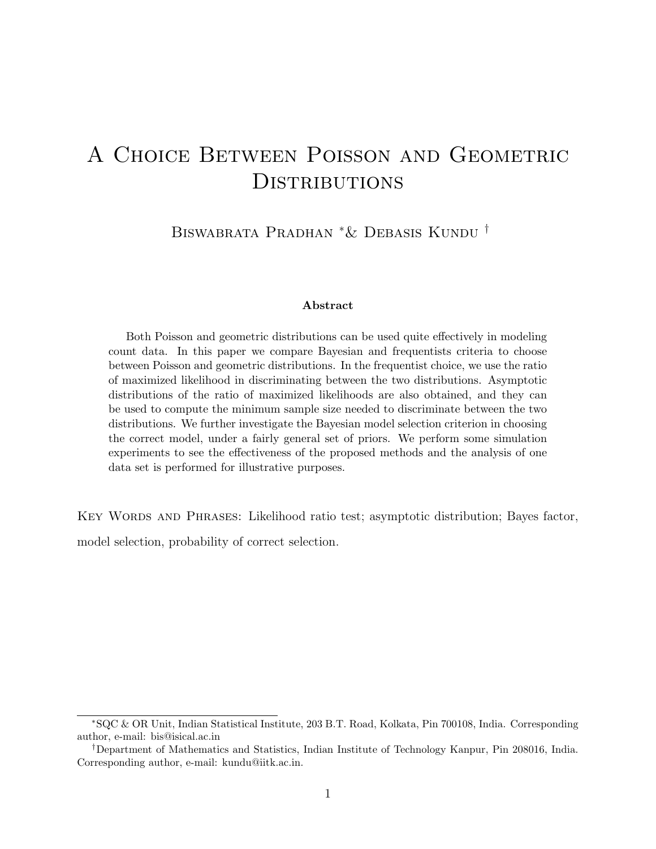# A Choice Between Poisson and Geometric **DISTRIBUTIONS**

Biswabrata Pradhan <sup>∗</sup>& Debasis Kundu †

#### Abstract

Both Poisson and geometric distributions can be used quite effectively in modeling count data. In this paper we compare Bayesian and frequentists criteria to choose between Poisson and geometric distributions. In the frequentist choice, we use the ratio of maximized likelihood in discriminating between the two distributions. Asymptotic distributions of the ratio of maximized likelihoods are also obtained, and they can be used to compute the minimum sample size needed to discriminate between the two distributions. We further investigate the Bayesian model selection criterion in choosing the correct model, under a fairly general set of priors. We perform some simulation experiments to see the effectiveness of the proposed methods and the analysis of one data set is performed for illustrative purposes.

KEY WORDS AND PHRASES: Likelihood ratio test; asymptotic distribution; Bayes factor,

model selection, probability of correct selection.

<sup>∗</sup>SQC & OR Unit, Indian Statistical Institute, 203 B.T. Road, Kolkata, Pin 700108, India. Corresponding author, e-mail: bis@isical.ac.in

<sup>†</sup>Department of Mathematics and Statistics, Indian Institute of Technology Kanpur, Pin 208016, India. Corresponding author, e-mail: kundu@iitk.ac.in.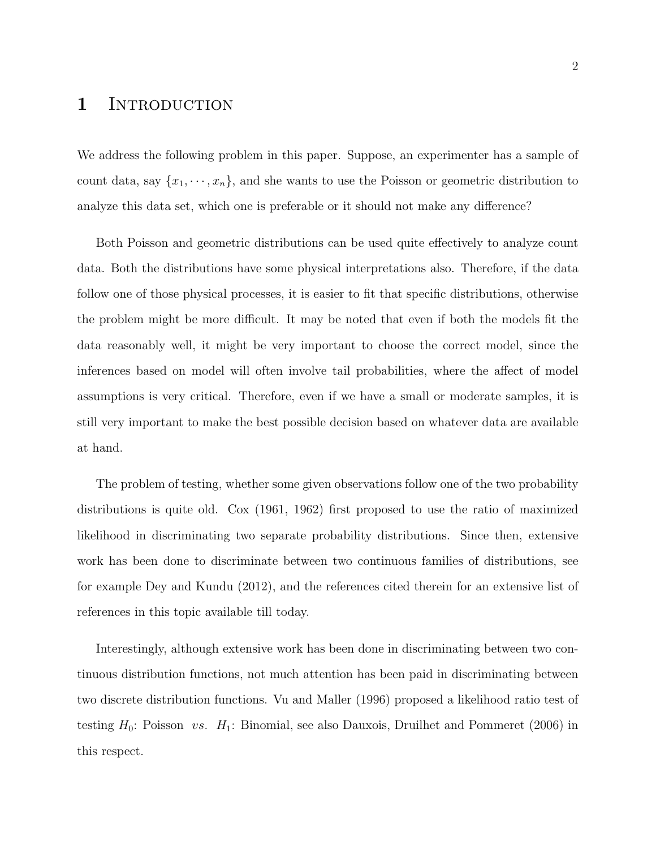### 1 INTRODUCTION

We address the following problem in this paper. Suppose, an experimenter has a sample of count data, say  $\{x_1, \dots, x_n\}$ , and she wants to use the Poisson or geometric distribution to analyze this data set, which one is preferable or it should not make any difference?

Both Poisson and geometric distributions can be used quite effectively to analyze count data. Both the distributions have some physical interpretations also. Therefore, if the data follow one of those physical processes, it is easier to fit that specific distributions, otherwise the problem might be more difficult. It may be noted that even if both the models fit the data reasonably well, it might be very important to choose the correct model, since the inferences based on model will often involve tail probabilities, where the affect of model assumptions is very critical. Therefore, even if we have a small or moderate samples, it is still very important to make the best possible decision based on whatever data are available at hand.

The problem of testing, whether some given observations follow one of the two probability distributions is quite old. Cox (1961, 1962) first proposed to use the ratio of maximized likelihood in discriminating two separate probability distributions. Since then, extensive work has been done to discriminate between two continuous families of distributions, see for example Dey and Kundu (2012), and the references cited therein for an extensive list of references in this topic available till today.

Interestingly, although extensive work has been done in discriminating between two continuous distribution functions, not much attention has been paid in discriminating between two discrete distribution functions. Vu and Maller (1996) proposed a likelihood ratio test of testing  $H_0$ : Poisson vs.  $H_1$ : Binomial, see also Dauxois, Druilhet and Pommeret (2006) in this respect.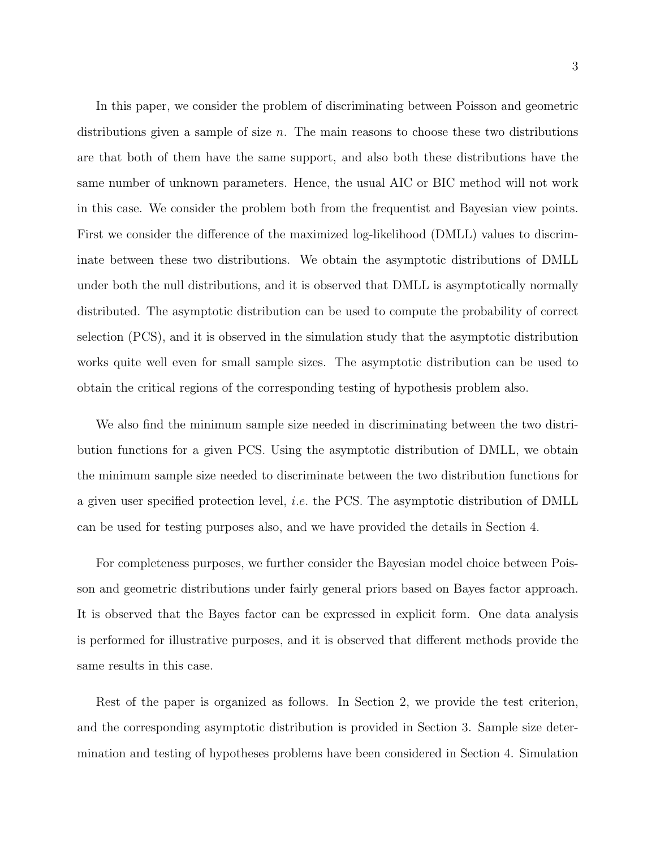In this paper, we consider the problem of discriminating between Poisson and geometric distributions given a sample of size  $n$ . The main reasons to choose these two distributions are that both of them have the same support, and also both these distributions have the same number of unknown parameters. Hence, the usual AIC or BIC method will not work in this case. We consider the problem both from the frequentist and Bayesian view points. First we consider the difference of the maximized log-likelihood (DMLL) values to discriminate between these two distributions. We obtain the asymptotic distributions of DMLL under both the null distributions, and it is observed that DMLL is asymptotically normally distributed. The asymptotic distribution can be used to compute the probability of correct selection (PCS), and it is observed in the simulation study that the asymptotic distribution works quite well even for small sample sizes. The asymptotic distribution can be used to obtain the critical regions of the corresponding testing of hypothesis problem also.

We also find the minimum sample size needed in discriminating between the two distribution functions for a given PCS. Using the asymptotic distribution of DMLL, we obtain the minimum sample size needed to discriminate between the two distribution functions for a given user specified protection level, i.e. the PCS. The asymptotic distribution of DMLL can be used for testing purposes also, and we have provided the details in Section 4.

For completeness purposes, we further consider the Bayesian model choice between Poisson and geometric distributions under fairly general priors based on Bayes factor approach. It is observed that the Bayes factor can be expressed in explicit form. One data analysis is performed for illustrative purposes, and it is observed that different methods provide the same results in this case.

Rest of the paper is organized as follows. In Section 2, we provide the test criterion, and the corresponding asymptotic distribution is provided in Section 3. Sample size determination and testing of hypotheses problems have been considered in Section 4. Simulation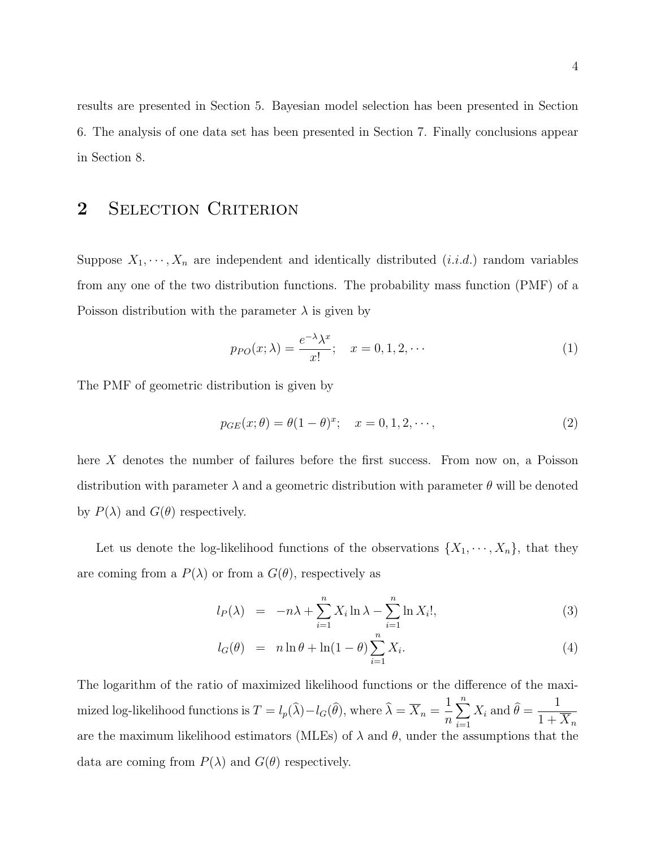results are presented in Section 5. Bayesian model selection has been presented in Section 6. The analysis of one data set has been presented in Section 7. Finally conclusions appear in Section 8.

### 2 SELECTION CRITERION

Suppose  $X_1, \dots, X_n$  are independent and identically distributed  $(i.i.d.)$  random variables from any one of the two distribution functions. The probability mass function (PMF) of a Poisson distribution with the parameter  $\lambda$  is given by

$$
p_{PO}(x; \lambda) = \frac{e^{-\lambda} \lambda^x}{x!}; \quad x = 0, 1, 2, \cdots
$$
 (1)

The PMF of geometric distribution is given by

$$
p_{GE}(x; \theta) = \theta (1 - \theta)^x; \quad x = 0, 1, 2, \cdots,
$$
\n(2)

here X denotes the number of failures before the first success. From now on, a Poisson distribution with parameter  $\lambda$  and a geometric distribution with parameter  $\theta$  will be denoted by  $P(\lambda)$  and  $G(\theta)$  respectively.

Let us denote the log-likelihood functions of the observations  $\{X_1, \dots, X_n\}$ , that they are coming from a  $P(\lambda)$  or from a  $G(\theta)$ , respectively as

$$
l_P(\lambda) = -n\lambda + \sum_{i=1}^n X_i \ln \lambda - \sum_{i=1}^n \ln X_i!, \qquad (3)
$$

$$
l_G(\theta) = n \ln \theta + \ln(1 - \theta) \sum_{i=1}^{n} X_i.
$$
\n(4)

The logarithm of the ratio of maximized likelihood functions or the difference of the maximized log-likelihood functions is  $T = l_p(\lambda) - l_G(\theta)$ , where  $\lambda = \overline{X}_n =$ 1 n  $\sum_{n=1}^{\infty}$  $i=1$  $X_i$  and  $\theta =$ 1  $1 + \overline{X}_n$ are the maximum likelihood estimators (MLEs) of  $\lambda$  and  $\theta$ , under the assumptions that the data are coming from  $P(\lambda)$  and  $G(\theta)$  respectively.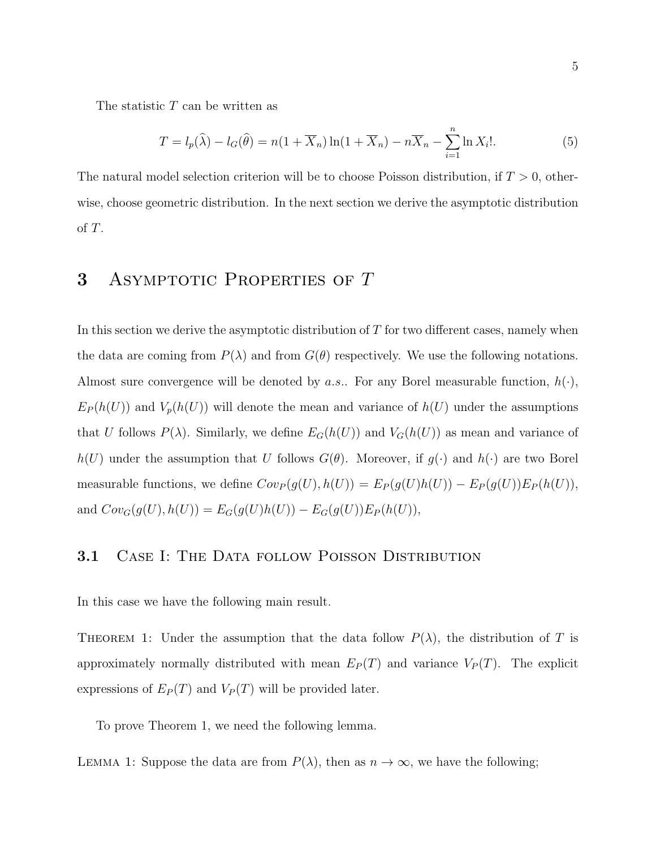The statistic T can be written as

$$
T = l_p(\widehat{\lambda}) - l_G(\widehat{\theta}) = n(1 + \overline{X}_n) \ln(1 + \overline{X}_n) - n\overline{X}_n - \sum_{i=1}^n \ln X_i!.
$$
 (5)

The natural model selection criterion will be to choose Poisson distribution, if  $T > 0$ , otherwise, choose geometric distribution. In the next section we derive the asymptotic distribution of T.

### 3 ASYMPTOTIC PROPERTIES OF T

In this section we derive the asymptotic distribution of  $T$  for two different cases, namely when the data are coming from  $P(\lambda)$  and from  $G(\theta)$  respectively. We use the following notations. Almost sure convergence will be denoted by *a.s.*. For any Borel measurable function,  $h(\cdot)$ ,  $E_P(h(U))$  and  $V_p(h(U))$  will denote the mean and variance of  $h(U)$  under the assumptions that U follows  $P(\lambda)$ . Similarly, we define  $E_G(h(U))$  and  $V_G(h(U))$  as mean and variance of  $h(U)$  under the assumption that U follows  $G(\theta)$ . Moreover, if  $g(\cdot)$  and  $h(\cdot)$  are two Borel measurable functions, we define  $Cov_P(g(U), h(U)) = E_P(g(U)h(U)) - E_P(g(U))E_P(h(U)),$ and  $Cov_G(g(U), h(U)) = E_G(g(U)h(U)) - E_G(g(U))E_P(h(U)),$ 

#### 3.1 CASE I: THE DATA FOLLOW POISSON DISTRIBUTION

In this case we have the following main result.

THEOREM 1: Under the assumption that the data follow  $P(\lambda)$ , the distribution of T is approximately normally distributed with mean  $E_P(T)$  and variance  $V_P(T)$ . The explicit expressions of  $E_P(T)$  and  $V_P(T)$  will be provided later.

To prove Theorem 1, we need the following lemma.

LEMMA 1: Suppose the data are from  $P(\lambda)$ , then as  $n \to \infty$ , we have the following;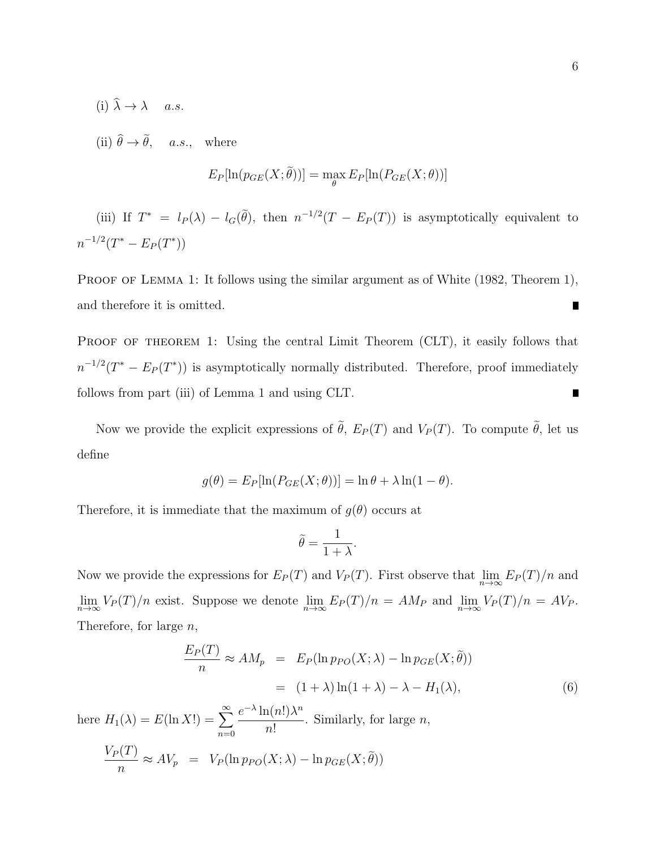(i)  $\hat{\lambda} \rightarrow \lambda$  a.s.

(ii)  $\hat{\theta} \rightarrow \tilde{\theta}$ , a.s., where

$$
E_P[\ln(p_{GE}(X;\tilde{\theta}))] = \max_{\theta} E_P[\ln(P_{GE}(X;\theta))]
$$

(iii) If  $T^* = l_P(\lambda) - l_G(\tilde{\theta})$ , then  $n^{-1/2}(T - E_P(T))$  is asymptotically equivalent to  $n^{-1/2}(T^* - E_P(T^*))$ 

PROOF OF LEMMA 1: It follows using the similar argument as of White (1982, Theorem 1), and therefore it is omitted. П

PROOF OF THEOREM 1: Using the central Limit Theorem (CLT), it easily follows that  $n^{-1/2}(T^* - E_P(T^*))$  is asymptotically normally distributed. Therefore, proof immediately follows from part (iii) of Lemma 1 and using CLT.  $\blacksquare$ 

Now we provide the explicit expressions of  $\tilde{\theta}$ ,  $E_P(T)$  and  $V_P(T)$ . To compute  $\tilde{\theta}$ , let us define

$$
g(\theta) = E_P[\ln(P_{GE}(X;\theta))] = \ln \theta + \lambda \ln(1-\theta).
$$

Therefore, it is immediate that the maximum of  $q(\theta)$  occurs at

$$
\widetilde{\theta}=\frac{1}{1+\lambda}.
$$

Now we provide the expressions for  $E_P(T)$  and  $V_P(T)$ . First observe that  $\lim_{n\to\infty} E_P(T)/n$  and  $\lim_{n\to\infty} V_P(T)/n$  exist. Suppose we denote  $\lim_{n\to\infty} E_P(T)/n = AM_P$  and  $\lim_{n\to\infty} V_P(T)/n = AV_P$ . Therefore, for large  $n$ ,

$$
\frac{E_P(T)}{n} \approx AM_p = E_P(\ln p_{PO}(X; \lambda) - \ln p_{GE}(X; \tilde{\theta}))
$$

$$
= (1 + \lambda)\ln(1 + \lambda) - \lambda - H_1(\lambda), \tag{6}
$$

here  $H_1(\lambda) = E(\ln X!) = \sum_{n=0}^{\infty}$  $n=0$  $e^{-\lambda} \ln(n!) \lambda^n$ n! . Similarly, for large  $n$ ,  $V_P(T)$  $\frac{\partial (X,Y)}{\partial n} \approx AV_p \ = \ V_P(\ln p_{PO}(X;\lambda) - \ln p_{GE}(X;\theta))$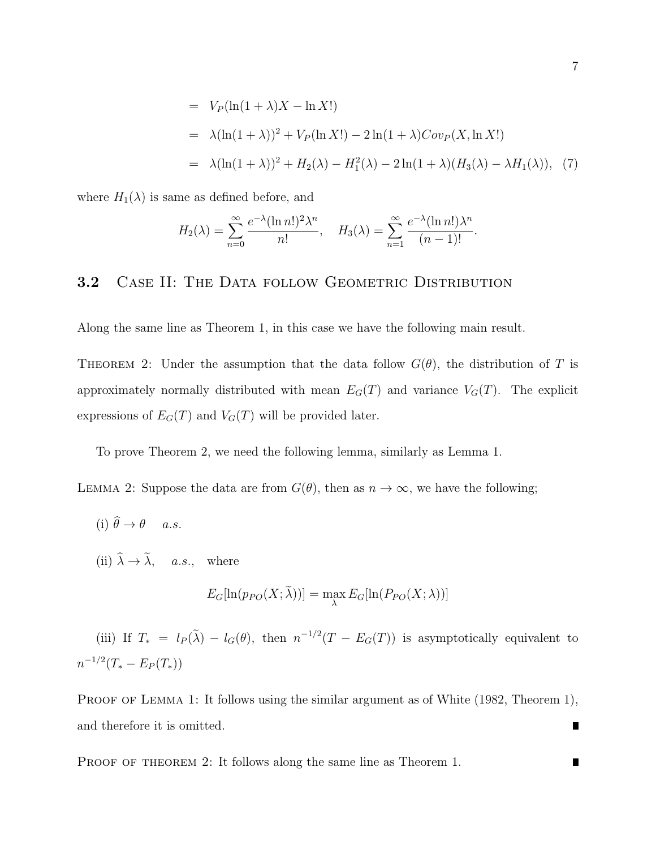= 
$$
V_P(\ln(1 + \lambda)X - \ln X!)
$$
  
\n=  $\lambda(\ln(1 + \lambda))^2 + V_P(\ln X!) - 2\ln(1 + \lambda)Cov_P(X, \ln X!)$   
\n=  $\lambda(\ln(1 + \lambda))^2 + H_2(\lambda) - H_1^2(\lambda) - 2\ln(1 + \lambda)(H_3(\lambda) - \lambda H_1(\lambda)), (7)$ 

where  $H_1(\lambda)$  is same as defined before, and

$$
H_2(\lambda) = \sum_{n=0}^{\infty} \frac{e^{-\lambda} (\ln n!)^2 \lambda^n}{n!}, \quad H_3(\lambda) = \sum_{n=1}^{\infty} \frac{e^{-\lambda} (\ln n!) \lambda^n}{(n-1)!}.
$$

#### 3.2 CASE II: THE DATA FOLLOW GEOMETRIC DISTRIBUTION

Along the same line as Theorem 1, in this case we have the following main result.

THEOREM 2: Under the assumption that the data follow  $G(\theta)$ , the distribution of T is approximately normally distributed with mean  $E_G(T)$  and variance  $V_G(T)$ . The explicit expressions of  $E_G(T)$  and  $V_G(T)$  will be provided later.

To prove Theorem 2, we need the following lemma, similarly as Lemma 1.

LEMMA 2: Suppose the data are from  $G(\theta)$ , then as  $n \to \infty$ , we have the following;

- (i)  $\hat{\theta} \rightarrow \theta$  a.s.
- (ii)  $\hat{\lambda} \rightarrow \tilde{\lambda}$ , a.s., where

$$
E_G[\ln(p_{PO}(X;\lambda))] = \max_{\lambda} E_G[\ln(P_{PO}(X;\lambda))]
$$

(iii) If  $T_* = l_P(\tilde{\lambda}) - l_G(\theta)$ , then  $n^{-1/2}(T - E_G(T))$  is asymptotically equivalent to  $n^{-1/2}(T_*-E_P(T_*))$ 

PROOF OF LEMMA 1: It follows using the similar argument as of White (1982, Theorem 1), and therefore it is omitted.  $\blacksquare$ 

PROOF OF THEOREM 2: It follows along the same line as Theorem 1.

П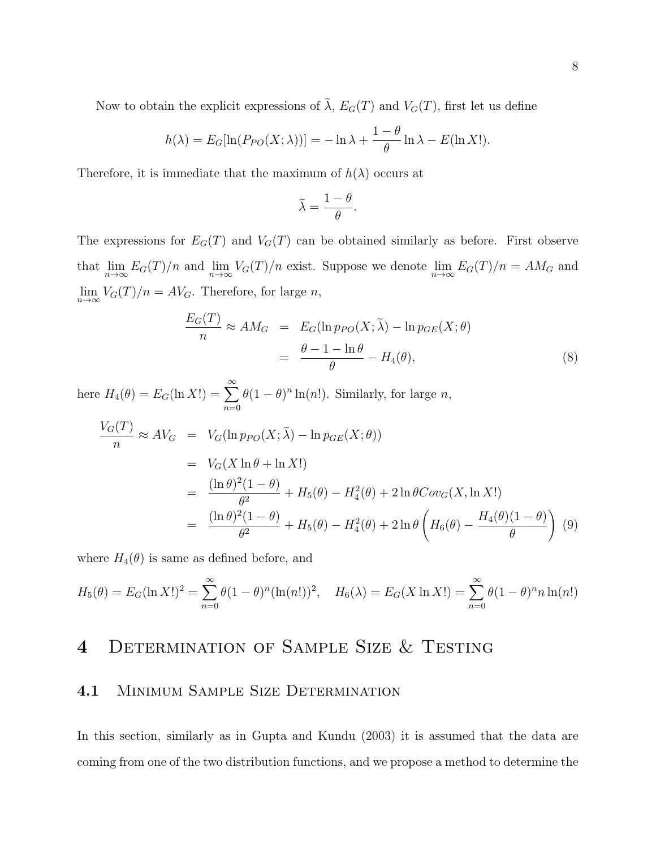Now to obtain the explicit expressions of  $\tilde{\lambda}$ ,  $E_G(T)$  and  $V_G(T)$ , first let us define

$$
h(\lambda) = E_G[\ln(P_{PO}(X;\lambda))] = -\ln\lambda + \frac{1-\theta}{\theta}\ln\lambda - E(\ln X!).
$$

Therefore, it is immediate that the maximum of  $h(\lambda)$  occurs at

$$
\widetilde{\lambda} = \frac{1 - \theta}{\theta}.
$$

The expressions for  $E_G(T)$  and  $V_G(T)$  can be obtained similarly as before. First observe that  $\lim_{n\to\infty} E_G(T)/n$  and  $\lim_{n\to\infty} V_G(T)/n$  exist. Suppose we denote  $\lim_{n\to\infty} E_G(T)/n = AM_G$  and  $\lim_{n\to\infty} V_G(T)/n = AV_G$ . Therefore, for large *n*,

$$
\frac{E_G(T)}{n} \approx AM_G = E_G(\ln p_{PO}(X; \tilde{\lambda}) - \ln p_{GE}(X; \theta)
$$

$$
= \frac{\theta - 1 - \ln \theta}{\theta} - H_4(\theta), \tag{8}
$$

here  $H_4(\theta) = E_G(\ln X!) = \sum_{n=0}^{\infty}$  $n=0$  $\theta(1-\theta)^n \ln(n!)$ . Similarly, for large *n*,  $V_G(T)$  $\frac{\partial (X,Y)}{\partial n} \approx AV_G$  =  $V_G(\ln p_{PO}(X;\lambda) - \ln p_{GE}(X;\theta))$  $= V_G(X \ln \theta + \ln X!)$ =  $(\ln \theta)^2 (1-\theta)$  $\frac{(1-\nu)}{\theta^2} + H_5(\theta) - H_4^2(\theta) + 2\ln\theta Cov_G(X, \ln X!)$ =  $(\ln \theta)^2 (1-\theta)$  $\frac{(1-\theta)}{\theta^2} + H_5(\theta) - H_4^2(\theta) + 2\ln\theta$  $\sqrt{2}$  $H_6(\theta)$  −  $H_4(\theta)(1-\theta)$ θ  $\setminus$ (9)

where  $H_4(\theta)$  is same as defined before, and

$$
H_5(\theta) = E_G(\ln X!)^2 = \sum_{n=0}^{\infty} \theta (1-\theta)^n (\ln(n!) )^2, \quad H_6(\lambda) = E_G(X \ln X!) = \sum_{n=0}^{\infty} \theta (1-\theta)^n n \ln(n!)
$$

### 4 DETERMINATION OF SAMPLE SIZE & TESTING

#### 4.1 MINIMUM SAMPLE SIZE DETERMINATION

In this section, similarly as in Gupta and Kundu (2003) it is assumed that the data are coming from one of the two distribution functions, and we propose a method to determine the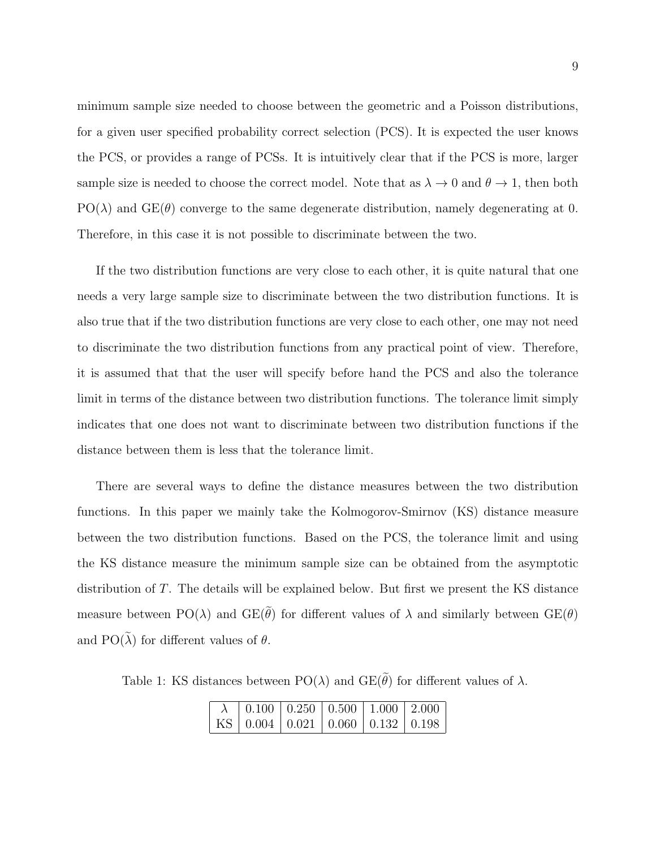minimum sample size needed to choose between the geometric and a Poisson distributions, for a given user specified probability correct selection (PCS). It is expected the user knows the PCS, or provides a range of PCSs. It is intuitively clear that if the PCS is more, larger sample size is needed to choose the correct model. Note that as  $\lambda \to 0$  and  $\theta \to 1$ , then both  $PO(\lambda)$  and  $GE(\theta)$  converge to the same degenerate distribution, namely degenerating at 0. Therefore, in this case it is not possible to discriminate between the two.

If the two distribution functions are very close to each other, it is quite natural that one needs a very large sample size to discriminate between the two distribution functions. It is also true that if the two distribution functions are very close to each other, one may not need to discriminate the two distribution functions from any practical point of view. Therefore, it is assumed that that the user will specify before hand the PCS and also the tolerance limit in terms of the distance between two distribution functions. The tolerance limit simply indicates that one does not want to discriminate between two distribution functions if the distance between them is less that the tolerance limit.

There are several ways to define the distance measures between the two distribution functions. In this paper we mainly take the Kolmogorov-Smirnov (KS) distance measure between the two distribution functions. Based on the PCS, the tolerance limit and using the KS distance measure the minimum sample size can be obtained from the asymptotic distribution of T. The details will be explained below. But first we present the KS distance measure between PO( $\lambda$ ) and GE( $\tilde{\theta}$ ) for different values of  $\lambda$  and similarly between GE( $\theta$ ) and  $PO(\tilde{\lambda})$  for different values of  $\theta$ .

Table 1: KS distances between PO( $\lambda$ ) and GE( $\tilde{\theta}$ ) for different values of  $\lambda$ .

| $\lambda$   0.100   0.250   0.500   1.000   2.000 |  |  |
|---------------------------------------------------|--|--|
| KS   0.004   0.021   0.060   0.132   0.198        |  |  |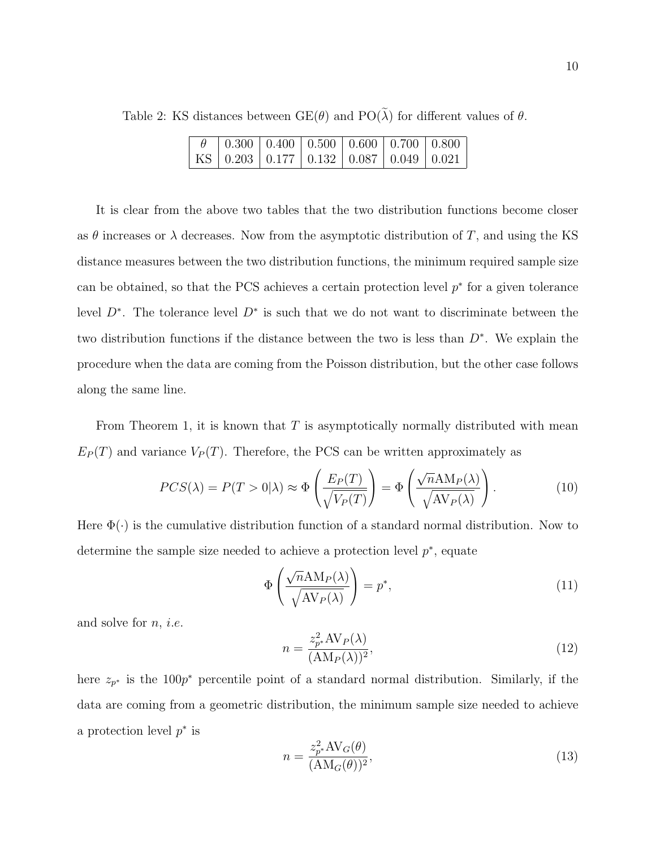Table 2: KS distances between  $GE(\theta)$  and  $PO(\tilde{\lambda})$  for different values of  $\theta$ .

|  | $\theta$   0.300   0.400   0.500   0.600   0.700   0.800 |  |  |
|--|----------------------------------------------------------|--|--|
|  | KS   0.203   0.177   0.132   0.087   0.049   0.021       |  |  |

It is clear from the above two tables that the two distribution functions become closer as  $\theta$  increases or  $\lambda$  decreases. Now from the asymptotic distribution of T, and using the KS distance measures between the two distribution functions, the minimum required sample size can be obtained, so that the PCS achieves a certain protection level  $p^*$  for a given tolerance level  $D^*$ . The tolerance level  $D^*$  is such that we do not want to discriminate between the two distribution functions if the distance between the two is less than D<sup>∗</sup> . We explain the procedure when the data are coming from the Poisson distribution, but the other case follows along the same line.

From Theorem 1, it is known that  $T$  is asymptotically normally distributed with mean  $E_P(T)$  and variance  $V_P(T)$ . Therefore, the PCS can be written approximately as

$$
PCS(\lambda) = P(T > 0|\lambda) \approx \Phi\left(\frac{E_P(T)}{\sqrt{V_P(T)}}\right) = \Phi\left(\frac{\sqrt{n}\text{AM}_P(\lambda)}{\sqrt{\text{AV}_P(\lambda)}}\right). \tag{10}
$$

Here  $\Phi(\cdot)$  is the cumulative distribution function of a standard normal distribution. Now to determine the sample size needed to achieve a protection level  $p^*$ , equate

$$
\Phi\left(\frac{\sqrt{n}\text{AM}_P(\lambda)}{\sqrt{\text{AV}_P(\lambda)}}\right) = p^*,\tag{11}
$$

and solve for  $n$ , *i.e.* 

$$
n = \frac{z_{p^*}^2 \text{AV}_P(\lambda)}{(\text{AM}_P(\lambda))^2},\tag{12}
$$

here  $z_{p^*}$  is the 100 $p^*$  percentile point of a standard normal distribution. Similarly, if the data are coming from a geometric distribution, the minimum sample size needed to achieve a protection level  $p^*$  is

$$
n = \frac{z_{p^*}^2 \text{AV}_G(\theta)}{(\text{AM}_G(\theta))^2},\tag{13}
$$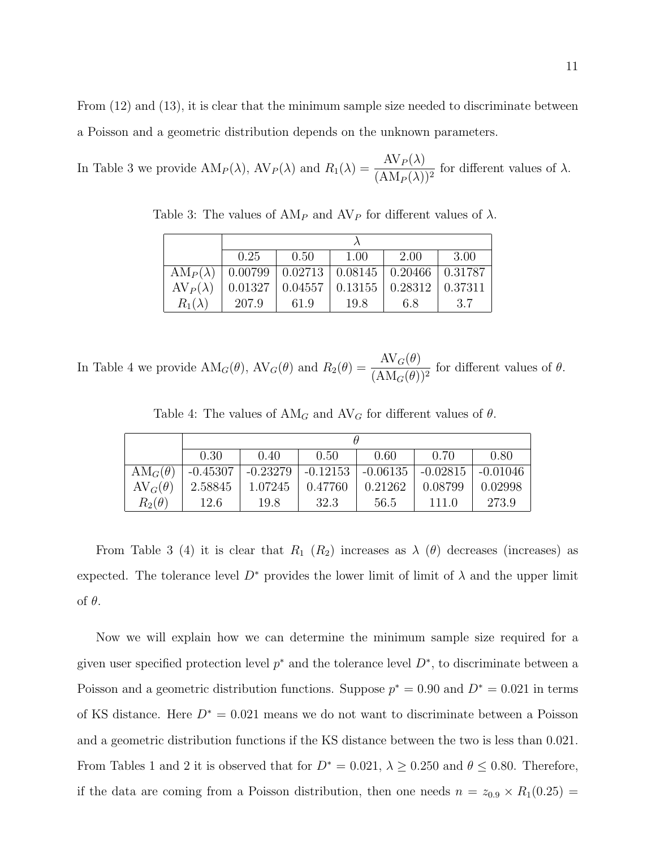From  $(12)$  and  $(13)$ , it is clear that the minimum sample size needed to discriminate between a Poisson and a geometric distribution depends on the unknown parameters.

In Table 3 we provide  $AM_P(\lambda)$ ,  $AV_P(\lambda)$  and  $R_1(\lambda) = \frac{AV_P(\lambda)}{(AM_P(\lambda))}$  $\frac{\text{Tr} \mathcal{F}(\lambda)}{(\text{AM}_P(\lambda))^2}$  for different values of  $\lambda$ .

|                 | 0.25                                                              | 0.50                                                               | $1.00\,$ | 2.00 | 3.00 |  |  |  |  |
|-----------------|-------------------------------------------------------------------|--------------------------------------------------------------------|----------|------|------|--|--|--|--|
|                 | $AM_P(\lambda)$   0.00799   0.02713   0.08145   0.20466   0.31787 |                                                                    |          |      |      |  |  |  |  |
| $AV_P(\lambda)$ |                                                                   | $0.01327 \mid 0.04557 \mid 0.13155 \mid 0.28312 \mid 0.37311 \mid$ |          |      |      |  |  |  |  |
| $R_1(\lambda)$  | 207.9                                                             | 61.9                                                               | 19.8     | 6.8  | 3.7  |  |  |  |  |

Table 3: The values of  $AM_P$  and  $AV_P$  for different values of  $\lambda$ .

In Table 4 we provide  $AM_G(\theta)$ ,  $AV_G(\theta)$  and  $R_2(\theta) = \frac{AV_G(\theta)}{(AM_G(\theta))}$  $\frac{\text{Tr}(\mathcal{C}(v))}{(\text{AM}_G(\theta))^2}$  for different values of  $\theta$ .

|                | 0.30       | 0.40       | 0.50                                              | 0.60    | 0.70    | 0.80    |  |  |  |
|----------------|------------|------------|---------------------------------------------------|---------|---------|---------|--|--|--|
| $AM_G(\theta)$ | $-0.45307$ | $-0.23279$ | $-0.12153$   $-0.06135$   $-0.02815$   $-0.01046$ |         |         |         |  |  |  |
| $AV_G(\theta)$ | 2.58845    | 1.07245    | 0.47760                                           | 0.21262 | 0.08799 | 0.02998 |  |  |  |
| $R_2(\theta)$  | 12.6       | 19.8       | 32.3                                              | 56.5    | 111.0   | 273.9   |  |  |  |

Table 4: The values of  $AM_G$  and  $AV_G$  for different values of  $\theta$ .

From Table 3 (4) it is clear that  $R_1$  ( $R_2$ ) increases as  $\lambda$  ( $\theta$ ) decreases (increases) as expected. The tolerance level  $D^*$  provides the lower limit of limit of  $\lambda$  and the upper limit of θ.

Now we will explain how we can determine the minimum sample size required for a given user specified protection level  $p^*$  and the tolerance level  $D^*$ , to discriminate between a Poisson and a geometric distribution functions. Suppose  $p^* = 0.90$  and  $D^* = 0.021$  in terms of KS distance. Here  $D^* = 0.021$  means we do not want to discriminate between a Poisson and a geometric distribution functions if the KS distance between the two is less than 0.021. From Tables 1 and 2 it is observed that for  $D^* = 0.021$ ,  $\lambda \ge 0.250$  and  $\theta \le 0.80$ . Therefore, if the data are coming from a Poisson distribution, then one needs  $n = z_{0.9} \times R_1(0.25)$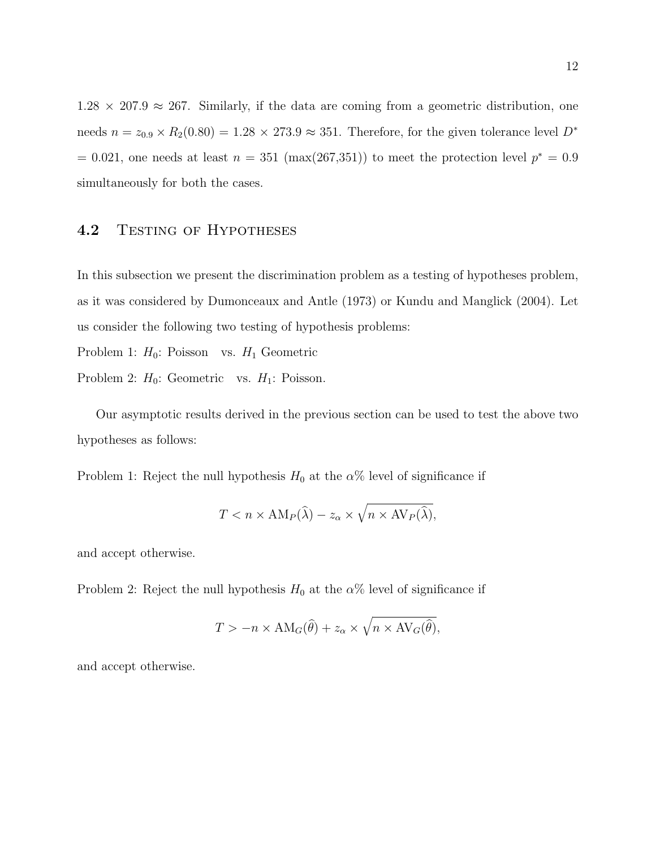$1.28 \times 207.9 \approx 267$ . Similarly, if the data are coming from a geometric distribution, one needs  $n = z_{0.9} \times R_2(0.80) = 1.28 \times 273.9 \approx 351$ . Therefore, for the given tolerance level  $D^*$  $= 0.021$ , one needs at least  $n = 351 \text{ (max}(267,351))$  to meet the protection level  $p^* = 0.9$ simultaneously for both the cases.

#### 4.2 TESTING OF HYPOTHESES

In this subsection we present the discrimination problem as a testing of hypotheses problem, as it was considered by Dumonceaux and Antle (1973) or Kundu and Manglick (2004). Let us consider the following two testing of hypothesis problems:

Problem 1:  $H_0$ : Poisson vs.  $H_1$  Geometric

Problem 2:  $H_0$ : Geometric vs.  $H_1$ : Poisson.

Our asymptotic results derived in the previous section can be used to test the above two hypotheses as follows:

Problem 1: Reject the null hypothesis  $H_0$  at the  $\alpha\%$  level of significance if

$$
T < n \times \text{AM}_P(\widehat{\lambda}) - z_\alpha \times \sqrt{n \times \text{AV}_P(\widehat{\lambda})},
$$

and accept otherwise.

Problem 2: Reject the null hypothesis  $H_0$  at the  $\alpha$ % level of significance if

$$
T > -n \times \text{AM}_G(\widehat{\theta}) + z_{\alpha} \times \sqrt{n \times \text{AV}_G(\widehat{\theta})},
$$

and accept otherwise.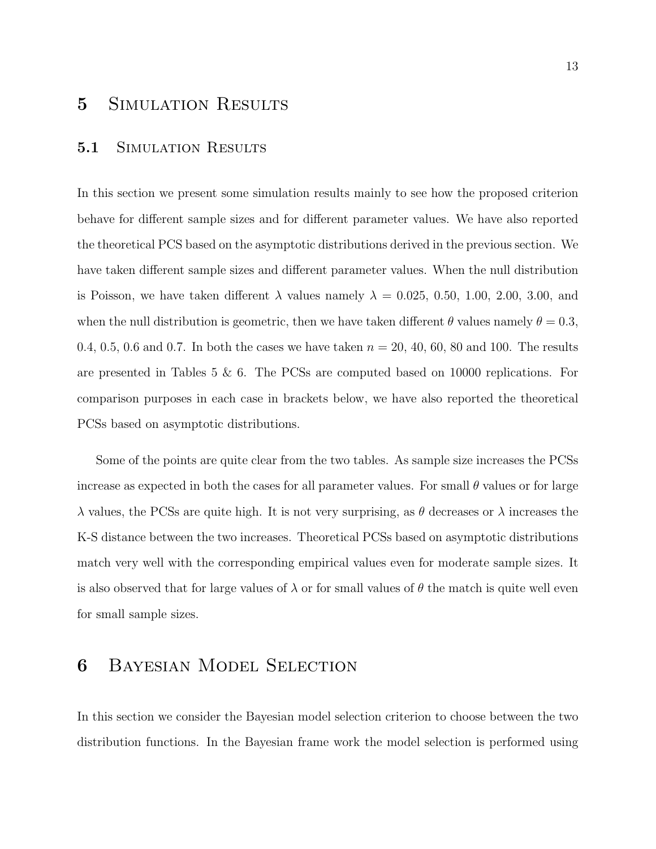### 5 SIMULATION RESULTS

#### 5.1 SIMULATION RESULTS

In this section we present some simulation results mainly to see how the proposed criterion behave for different sample sizes and for different parameter values. We have also reported the theoretical PCS based on the asymptotic distributions derived in the previous section. We have taken different sample sizes and different parameter values. When the null distribution is Poisson, we have taken different  $\lambda$  values namely  $\lambda = 0.025, 0.50, 1.00, 2.00, 3.00,$  and when the null distribution is geometric, then we have taken different  $\theta$  values namely  $\theta = 0.3$ , 0.4, 0.5, 0.6 and 0.7. In both the cases we have taken  $n = 20, 40, 60, 80$  and 100. The results are presented in Tables 5 & 6. The PCSs are computed based on 10000 replications. For comparison purposes in each case in brackets below, we have also reported the theoretical PCSs based on asymptotic distributions.

Some of the points are quite clear from the two tables. As sample size increases the PCSs increase as expected in both the cases for all parameter values. For small  $\theta$  values or for large  $\lambda$  values, the PCSs are quite high. It is not very surprising, as  $\theta$  decreases or  $\lambda$  increases the K-S distance between the two increases. Theoretical PCSs based on asymptotic distributions match very well with the corresponding empirical values even for moderate sample sizes. It is also observed that for large values of  $\lambda$  or for small values of  $\theta$  the match is quite well even for small sample sizes.

### 6 Bayesian Model Selection

In this section we consider the Bayesian model selection criterion to choose between the two distribution functions. In the Bayesian frame work the model selection is performed using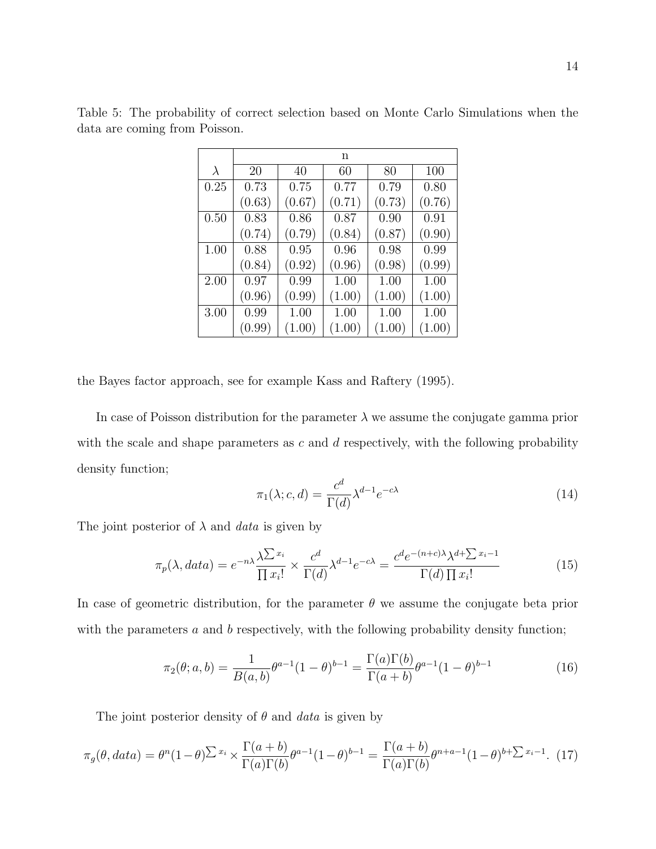|           | n      |        |        |        |        |  |  |  |
|-----------|--------|--------|--------|--------|--------|--|--|--|
| $\lambda$ | 20     | 40     | 60     | 80     | 100    |  |  |  |
| 0.25      | 0.73   | 0.75   | 0.77   | 0.79   | 0.80   |  |  |  |
|           | (0.63) | (0.67) | (0.71) | (0.73) | (0.76) |  |  |  |
| 0.50      | 0.83   | 0.86   | 0.87   | 0.90   | 0.91   |  |  |  |
|           | (0.74) | (0.79) | (0.84) | (0.87) | (0.90) |  |  |  |
| 1.00      | 0.88   | 0.95   | 0.96   | 0.98   | 0.99   |  |  |  |
|           | (0.84) | (0.92) | (0.96) | (0.98) | (0.99) |  |  |  |
| 2.00      | 0.97   | 0.99   | 1.00   | 1.00   | 1.00   |  |  |  |
|           | (0.96) | (0.99) | (1.00) | (1.00) | (1.00) |  |  |  |
| 3.00      | 0.99   | 1.00   | 1.00   | 1.00   | 1.00   |  |  |  |
|           | (0.99) | (1.00) | (1.00) | (1.00) | (1.00) |  |  |  |

Table 5: The probability of correct selection based on Monte Carlo Simulations when the data are coming from Poisson.

the Bayes factor approach, see for example Kass and Raftery (1995).

In case of Poisson distribution for the parameter  $\lambda$  we assume the conjugate gamma prior with the scale and shape parameters as  $c$  and  $d$  respectively, with the following probability density function;

$$
\pi_1(\lambda; c, d) = \frac{c^d}{\Gamma(d)} \lambda^{d-1} e^{-c\lambda}
$$
\n(14)

The joint posterior of  $\lambda$  and *data* is given by

$$
\pi_p(\lambda, data) = e^{-n\lambda} \frac{\lambda^{\sum x_i}}{\prod x_i!} \times \frac{c^d}{\Gamma(d)} \lambda^{d-1} e^{-c\lambda} = \frac{c^d e^{-(n+c)\lambda} \lambda^{d+\sum x_i - 1}}{\Gamma(d) \prod x_i!}
$$
(15)

In case of geometric distribution, for the parameter  $\theta$  we assume the conjugate beta prior with the parameters  $a$  and  $b$  respectively, with the following probability density function;

$$
\pi_2(\theta; a, b) = \frac{1}{B(a, b)} \theta^{a-1} (1 - \theta)^{b-1} = \frac{\Gamma(a)\Gamma(b)}{\Gamma(a+b)} \theta^{a-1} (1 - \theta)^{b-1}
$$
(16)

The joint posterior density of  $\theta$  and data is given by

$$
\pi_g(\theta, data) = \theta^n (1-\theta)^{\sum x_i} \times \frac{\Gamma(a+b)}{\Gamma(a)\Gamma(b)} \theta^{a-1} (1-\theta)^{b-1} = \frac{\Gamma(a+b)}{\Gamma(a)\Gamma(b)} \theta^{n+a-1} (1-\theta)^{b+\sum x_i-1}.
$$
 (17)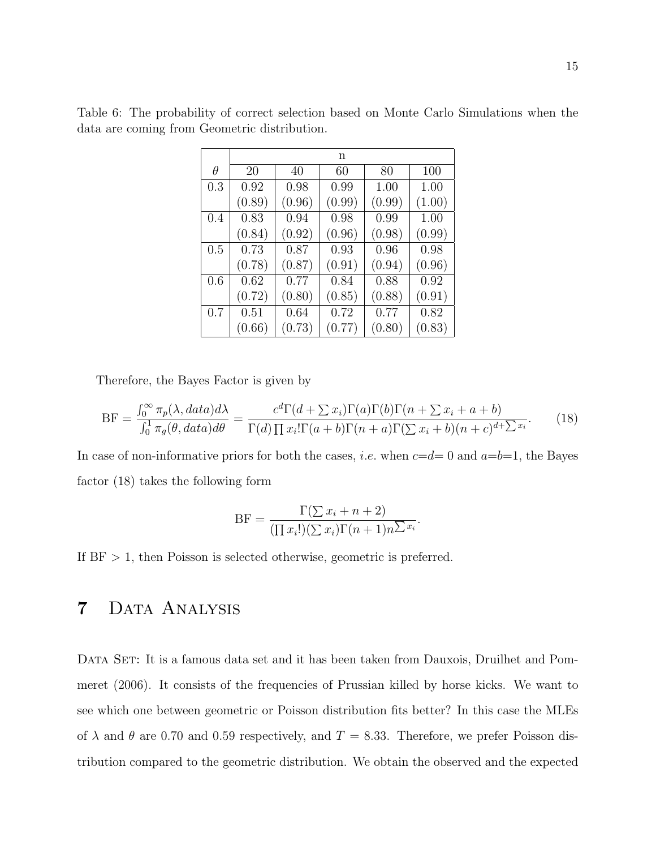|          |        |        | n      |        |        |
|----------|--------|--------|--------|--------|--------|
| $\theta$ | 20     | 40     | 60     | 80     | 100    |
| 0.3      | 0.92   | 0.98   | 0.99   | 1.00   | 1.00   |
|          | (0.89) | (0.96) | (0.99) | (0.99) | (1.00) |
| 0.4      | 0.83   | 0.94   | 0.98   | 0.99   | 1.00   |
|          | (0.84) | (0.92) | (0.96) | (0.98) | (0.99) |
| 0.5      | 0.73   | 0.87   | 0.93   | 0.96   | 0.98   |
|          | (0.78) | (0.87) | (0.91) | (0.94) | (0.96) |
| 0.6      | 0.62   | 0.77   | 0.84   | 0.88   | 0.92   |
|          | (0.72) | (0.80) | (0.85) | (0.88) | (0.91) |
| 0.7      | 0.51   | 0.64   | 0.72   | 0.77   | 0.82   |
|          | (0.66) | (0.73) | (0.77) | (0.80) | (0.83) |

Table 6: The probability of correct selection based on Monte Carlo Simulations when the data are coming from Geometric distribution.

Therefore, the Bayes Factor is given by

$$
BF = \frac{\int_0^\infty \pi_p(\lambda, data) d\lambda}{\int_0^1 \pi_g(\theta, data) d\theta} = \frac{c^d \Gamma(d + \sum x_i) \Gamma(a) \Gamma(b) \Gamma(n + \sum x_i + a + b)}{\Gamma(d) \prod x_i! \Gamma(a + b) \Gamma(n + a) \Gamma(\sum x_i + b) (n + c)^{d + \sum x_i}}.
$$
(18)

In case of non-informative priors for both the cases, *i.e.* when  $c=d=0$  and  $a=b=1$ , the Bayes factor (18) takes the following form

$$
BF = \frac{\Gamma(\sum x_i + n + 2)}{(\prod x_i!)(\sum x_i)\Gamma(n+1)n^{\sum x_i}}.
$$

If  $BF > 1$ , then Poisson is selected otherwise, geometric is preferred.

## 7 Data Analysis

DATA SET: It is a famous data set and it has been taken from Dauxois, Druilhet and Pommeret (2006). It consists of the frequencies of Prussian killed by horse kicks. We want to see which one between geometric or Poisson distribution fits better? In this case the MLEs of  $\lambda$  and  $\theta$  are 0.70 and 0.59 respectively, and  $T = 8.33$ . Therefore, we prefer Poisson distribution compared to the geometric distribution. We obtain the observed and the expected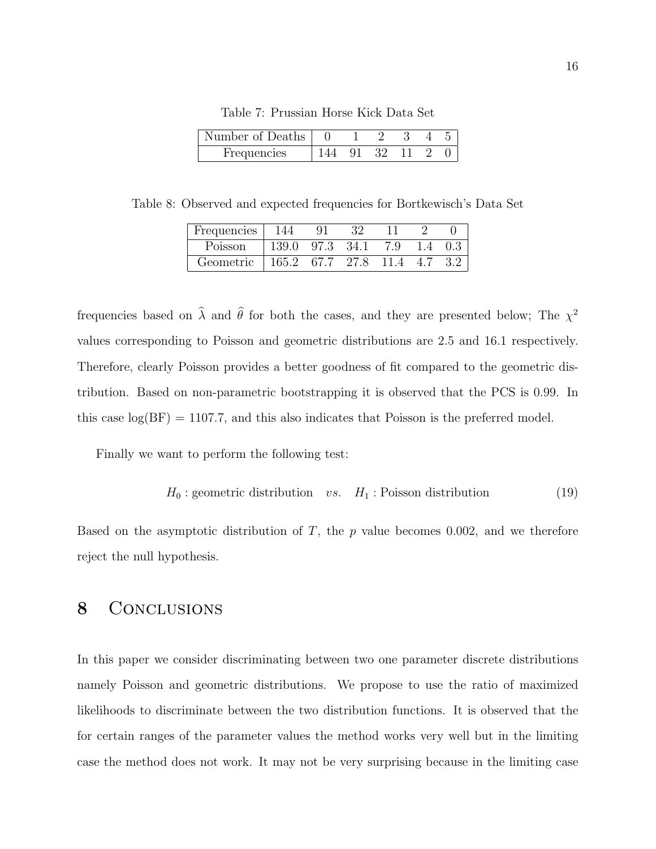| Number of Deaths |  |  |  |
|------------------|--|--|--|
| Frequencies      |  |  |  |

Table 7: Prussian Horse Kick Data Set

Table 8: Observed and expected frequencies for Bortkewisch's Data Set

| Frequencies | -144              |           |      |     |     |
|-------------|-------------------|-----------|------|-----|-----|
| Poisson     | 139.0             | 97.3 34.1 | 7.9  | 1.4 | 0.3 |
| Geometric   | $165.2$ 67.7 27.8 |           | 11.4 | 4.7 |     |

frequencies based on  $\hat{\lambda}$  and  $\hat{\theta}$  for both the cases, and they are presented below; The  $\chi^2$ values corresponding to Poisson and geometric distributions are 2.5 and 16.1 respectively. Therefore, clearly Poisson provides a better goodness of fit compared to the geometric distribution. Based on non-parametric bootstrapping it is observed that the PCS is 0.99. In this case  $log(BF) = 1107.7$ , and this also indicates that Poisson is the preferred model.

Finally we want to perform the following test:

$$
H_0: geometric distribution \t vs. \t H_1: Poisson distribution \t (19)
$$

Based on the asymptotic distribution of  $T$ , the  $p$  value becomes 0.002, and we therefore reject the null hypothesis.

### 8 CONCLUSIONS

In this paper we consider discriminating between two one parameter discrete distributions namely Poisson and geometric distributions. We propose to use the ratio of maximized likelihoods to discriminate between the two distribution functions. It is observed that the for certain ranges of the parameter values the method works very well but in the limiting case the method does not work. It may not be very surprising because in the limiting case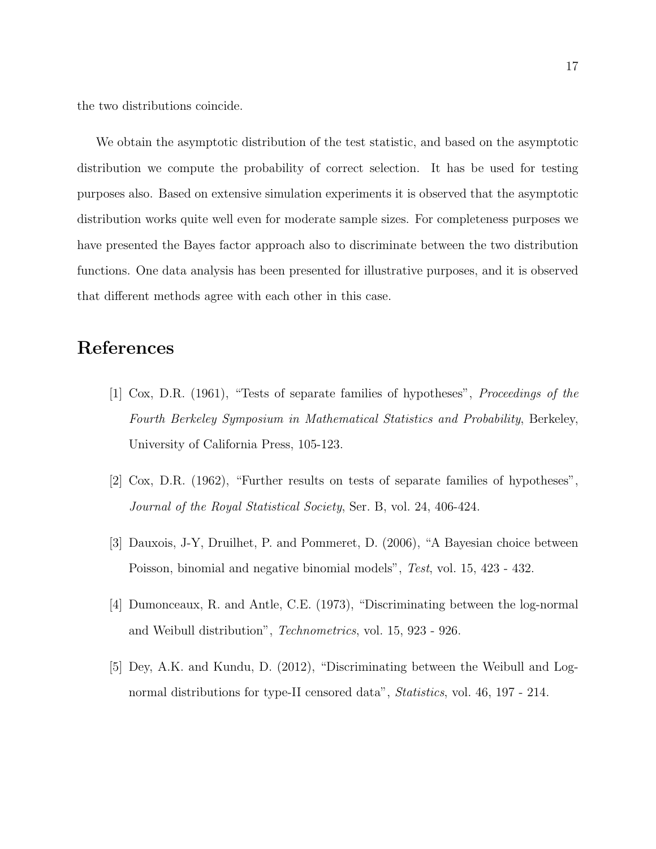the two distributions coincide.

We obtain the asymptotic distribution of the test statistic, and based on the asymptotic distribution we compute the probability of correct selection. It has be used for testing purposes also. Based on extensive simulation experiments it is observed that the asymptotic distribution works quite well even for moderate sample sizes. For completeness purposes we have presented the Bayes factor approach also to discriminate between the two distribution functions. One data analysis has been presented for illustrative purposes, and it is observed that different methods agree with each other in this case.

### References

- [1] Cox, D.R. (1961), "Tests of separate families of hypotheses", Proceedings of the Fourth Berkeley Symposium in Mathematical Statistics and Probability, Berkeley, University of California Press, 105-123.
- [2] Cox, D.R. (1962), "Further results on tests of separate families of hypotheses", Journal of the Royal Statistical Society, Ser. B, vol. 24, 406-424.
- [3] Dauxois, J-Y, Druilhet, P. and Pommeret, D. (2006), "A Bayesian choice between Poisson, binomial and negative binomial models", Test, vol. 15, 423 - 432.
- [4] Dumonceaux, R. and Antle, C.E. (1973), "Discriminating between the log-normal and Weibull distribution", Technometrics, vol. 15, 923 - 926.
- [5] Dey, A.K. and Kundu, D. (2012), "Discriminating between the Weibull and Lognormal distributions for type-II censored data", *Statistics*, vol. 46, 197 - 214.